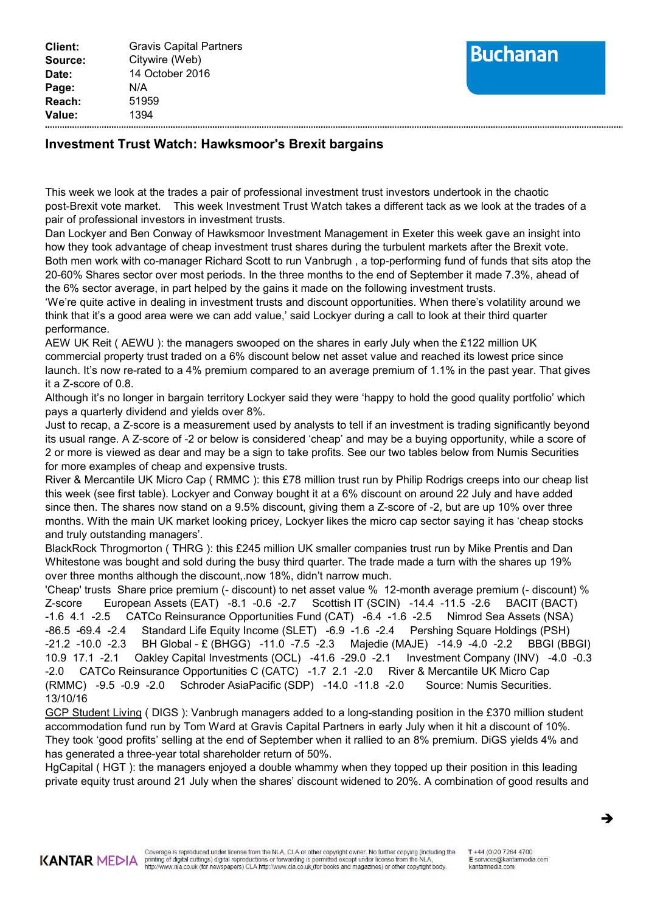## **Buchanan**

## **Investment Trust Watch: Hawksmoor's Brexit bargains**

This week we look at the trades a pair of professional investment trust investors undertook in the chaotic post-Brexit vote market. This week Investment Trust Watch takes a different tack as we look at the trades of a pair of professional investors in investment trusts.

Dan Lockyer and Ben Conway of Hawksmoor Investment Management in Exeter this week gave an insight into how they took advantage of cheap investment trust shares during the turbulent markets after the Brexit vote. Both men work with co-manager Richard Scott to run Vanbrugh , a top-performing fund of funds that sits atop the 20-60% Shares sector over most periods. In the three months to the end of September it made 7.3%, ahead of the 6% sector average, in part helped by the gains it made on the following investment trusts.

'We're quite active in dealing in investment trusts and discount opportunities. When there's volatility around we think that it's a good area were we can add value,' said Lockyer during a call to look at their third quarter performance.

AEW UK Reit ( AEWU ): the managers swooped on the shares in early July when the £122 million UK commercial property trust traded on a 6% discount below net asset value and reached its lowest price since launch. It's now re-rated to a 4% premium compared to an average premium of 1.1% in the past year. That gives it a Z-score of 0.8.

Although it's no longer in bargain territory Lockyer said they were 'happy to hold the good quality portfolio' which pays a quarterly dividend and yields over 8%.

Just to recap, a Z-score is a measurement used by analysts to tell if an investment is trading significantly beyond its usual range. A Z-score of -2 or below is considered 'cheap' and may be a buying opportunity, while a score of 2 or more is viewed as dear and may be a sign to take profits. See our two tables below from Numis Securities for more examples of cheap and expensive trusts.

River & Mercantile UK Micro Cap ( RMMC ): this £78 million trust run by Philip Rodrigs creeps into our cheap list this week (see first table). Lockyer and Conway bought it at a 6% discount on around 22 July and have added since then. The shares now stand on a 9.5% discount, giving them a Z-score of -2, but are up 10% over three months. With the main UK market looking pricey, Lockyer likes the micro cap sector saying it has 'cheap stocks and truly outstanding managers'.

BlackRock Throgmorton ( THRG ): this £245 million UK smaller companies trust run by Mike Prentis and Dan Whitestone was bought and sold during the busy third quarter. The trade made a turn with the shares up 19% over three months although the discount,.now 18%, didn't narrow much.

'Cheap' trusts Share price premium (- discount) to net asset value % 12-month average premium (- discount) % Z-score European Assets (EAT) -8.1 -0.6 -2.7 Scottish IT (SCIN) -14.4 -11.5 -2.6 BACIT (BACT) -1.6 4.1 -2.5 CATCo Reinsurance Opportunities Fund (CAT) -6.4 -1.6 -2.5 Nimrod Sea Assets (NSA) -86.5 -69.4 -2.4 Standard Life Equity Income (SLET) -6.9 -1.6 -2.4 Pershing Square Holdings (PSH) -21.2 -10.0 -2.3 BH Global - £ (BHGG) -11.0 -7.5 -2.3 Majedie (MAJE) -14.9 -4.0 -2.2 BBGI (BBGI) 10.9 17.1 -2.1 Oakley Capital Investments (OCL) -41.6 -29.0 -2.1 Investment Company (INV) -4.0 -0.3 -2.0 CATCo Reinsurance Opportunities C (CATC) -1.7 2.1 -2.0 River & Mercantile UK Micro Cap (RMMC) -9.5 -0.9 -2.0 Schroder AsiaPacific (SDP) -14.0 -11.8 -2.0 Source: Numis Securities. 13/10/16

GCP Student Living (DIGS): Vanbrugh managers added to a long-standing position in the £370 million student accommodation fund run by Tom Ward at Gravis Capital Partners in early July when it hit a discount of 10%. They took 'good profits' selling at the end of September when it rallied to an 8% premium. DiGS yields 4% and has generated a three-year total shareholder return of 50%.

HgCapital ( HGT ): the managers enjoyed a double whammy when they topped up their position in this leading private equity trust around 21 July when the shares' discount widened to 20%. A combination of good results and